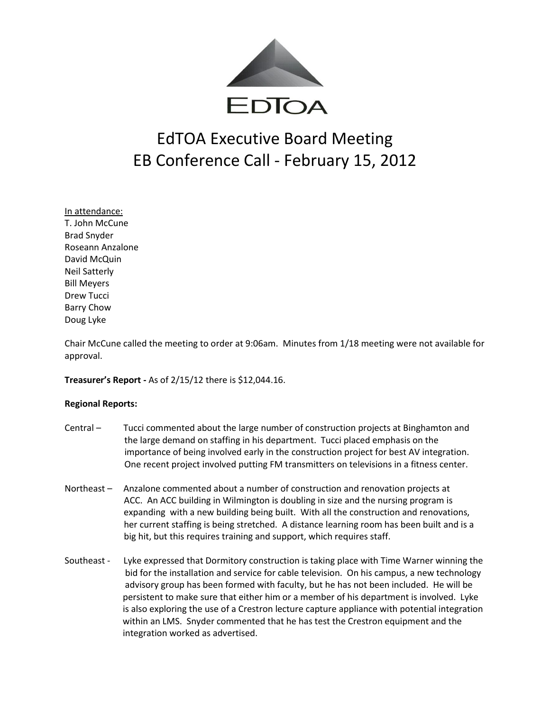

### In attendance:

T. John McCune Brad Snyder Roseann Anzalone David McQuin Neil Satterly Bill Meyers Drew Tucci Barry Chow Doug Lyke

Chair McCune called the meeting to order at 9:06am. Minutes from 1/18 meeting were not available for approval.

**Treasurer's Report -** As of 2/15/12 there is \$12,044.16.

### **Regional Reports:**

- Central Tucci commented about the large number of construction projects at Binghamton and the large demand on staffing in his department. Tucci placed emphasis on the importance of being involved early in the construction project for best AV integration. One recent project involved putting FM transmitters on televisions in a fitness center.
- Northeast Anzalone commented about a number of construction and renovation projects at ACC. An ACC building in Wilmington is doubling in size and the nursing program is expanding with a new building being built. With all the construction and renovations, her current staffing is being stretched. A distance learning room has been built and is a big hit, but this requires training and support, which requires staff.
- Southeast Lyke expressed that Dormitory construction is taking place with Time Warner winning the bid for the installation and service for cable television. On his campus, a new technology advisory group has been formed with faculty, but he has not been included. He will be persistent to make sure that either him or a member of his department is involved. Lyke is also exploring the use of a Crestron lecture capture appliance with potential integration within an LMS. Snyder commented that he has test the Crestron equipment and the integration worked as advertised.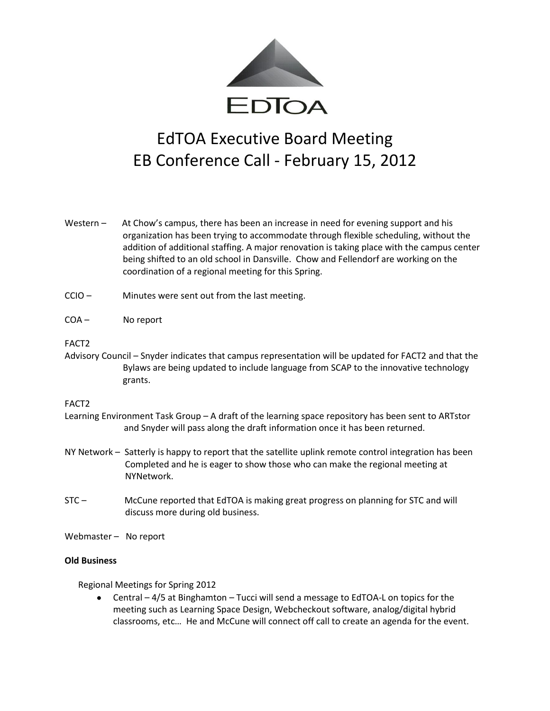

- Western At Chow's campus, there has been an increase in need for evening support and his organization has been trying to accommodate through flexible scheduling, without the addition of additional staffing. A major renovation is taking place with the campus center being shifted to an old school in Dansville. Chow and Fellendorf are working on the coordination of a regional meeting for this Spring.
- CCIO Minutes were sent out from the last meeting.
- COA No report

#### FACT2

Advisory Council – Snyder indicates that campus representation will be updated for FACT2 and that the Bylaws are being updated to include language from SCAP to the innovative technology grants.

#### FACT2

- Learning Environment Task Group A draft of the learning space repository has been sent to ARTstor and Snyder will pass along the draft information once it has been returned.
- NY Network Satterly is happy to report that the satellite uplink remote control integration has been Completed and he is eager to show those who can make the regional meeting at NYNetwork.
- STC McCune reported that EdTOA is making great progress on planning for STC and will discuss more during old business.
- Webmaster No report

#### **Old Business**

Regional Meetings for Spring 2012

Central – 4/5 at Binghamton – Tucci will send a message to EdTOA-L on topics for the meeting such as Learning Space Design, Webcheckout software, analog/digital hybrid classrooms, etc… He and McCune will connect off call to create an agenda for the event.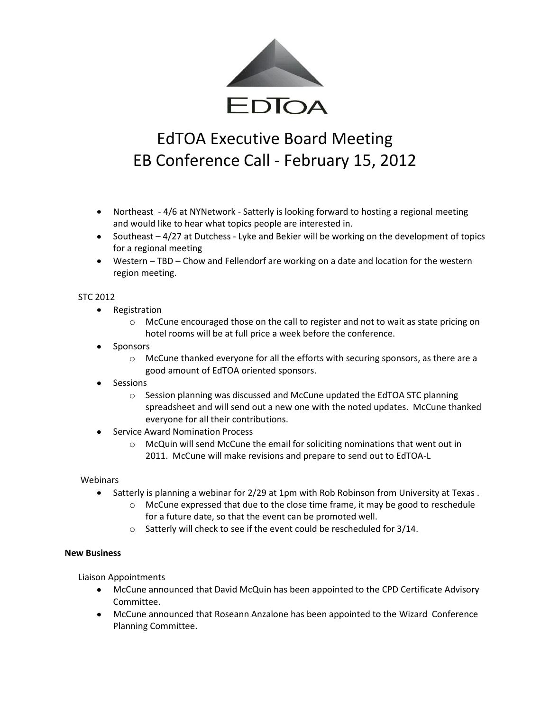

- Northeast 4/6 at NYNetwork Satterly is looking forward to hosting a regional meeting and would like to hear what topics people are interested in.
- Southeast 4/27 at Dutchess Lyke and Bekier will be working on the development of topics for a regional meeting
- Western TBD Chow and Fellendorf are working on a date and location for the western region meeting.

## STC 2012

- $\bullet$ Registration
	- $\circ$  McCune encouraged those on the call to register and not to wait as state pricing on hotel rooms will be at full price a week before the conference.
- $\bullet$ Sponsors
	- $\circ$  McCune thanked everyone for all the efforts with securing sponsors, as there are a good amount of EdTOA oriented sponsors.
- $\bullet$ Sessions
	- o Session planning was discussed and McCune updated the EdTOA STC planning spreadsheet and will send out a new one with the noted updates. McCune thanked everyone for all their contributions.
- Service Award Nomination Process  $\bullet$ 
	- o McQuin will send McCune the email for soliciting nominations that went out in 2011. McCune will make revisions and prepare to send out to EdTOA-L

### **Webinars**

- $\bullet$ Satterly is planning a webinar for 2/29 at 1pm with Rob Robinson from University at Texas .
	- $\circ$  McCune expressed that due to the close time frame, it may be good to reschedule for a future date, so that the event can be promoted well.
	- o Satterly will check to see if the event could be rescheduled for 3/14.

### **New Business**

Liaison Appointments

- McCune announced that David McQuin has been appointed to the CPD Certificate Advisory Committee.
- McCune announced that Roseann Anzalone has been appointed to the Wizard Conference Planning Committee.